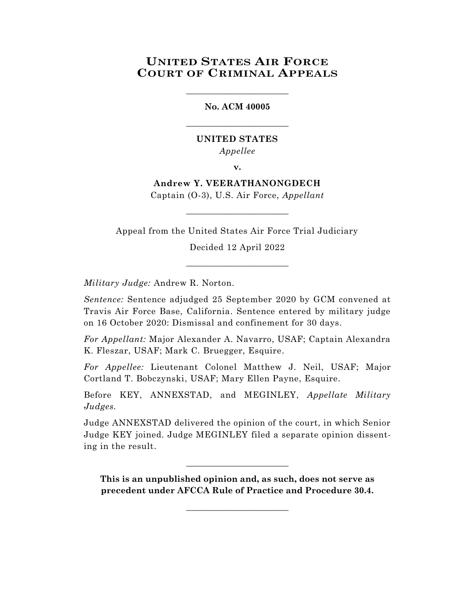# **UNITED STATES AIR FORCE COURT OF CRIMINAL APPEALS**

**No. ACM 40005**

\_\_\_\_\_\_\_\_\_\_\_\_\_\_\_\_\_\_\_\_\_\_\_\_

\_\_\_\_\_\_\_\_\_\_\_\_\_\_\_\_\_\_\_\_\_\_\_\_

**UNITED STATES** *Appellee*

**v.**

**Andrew Y. VEERATHANONGDECH** Captain (O-3), U.S. Air Force, *Appellant*

\_\_\_\_\_\_\_\_\_\_\_\_\_\_\_\_\_\_\_\_\_\_\_\_

Appeal from the United States Air Force Trial Judiciary

Decided 12 April 2022 \_\_\_\_\_\_\_\_\_\_\_\_\_\_\_\_\_\_\_\_\_\_\_\_

*Military Judge:* Andrew R. Norton.

*Sentence:* Sentence adjudged 25 September 2020 by GCM convened at Travis Air Force Base, California. Sentence entered by military judge on 16 October 2020: Dismissal and confinement for 30 days.

*For Appellant:* Major Alexander A. Navarro, USAF; Captain Alexandra K. Fleszar, USAF; Mark C. Bruegger, Esquire.

*For Appellee:* Lieutenant Colonel Matthew J. Neil, USAF; Major Cortland T. Bobczynski, USAF; Mary Ellen Payne, Esquire.

Before KEY, ANNEXSTAD, and MEGINLEY, *Appellate Military Judges.*

Judge ANNEXSTAD delivered the opinion of the court, in which Senior Judge KEY joined. Judge MEGINLEY filed a separate opinion dissenting in the result.

**This is an unpublished opinion and, as such, does not serve as precedent under AFCCA Rule of Practice and Procedure 30.4.**

\_\_\_\_\_\_\_\_\_\_\_\_\_\_\_\_\_\_\_\_\_\_\_\_

\_\_\_\_\_\_\_\_\_\_\_\_\_\_\_\_\_\_\_\_\_\_\_\_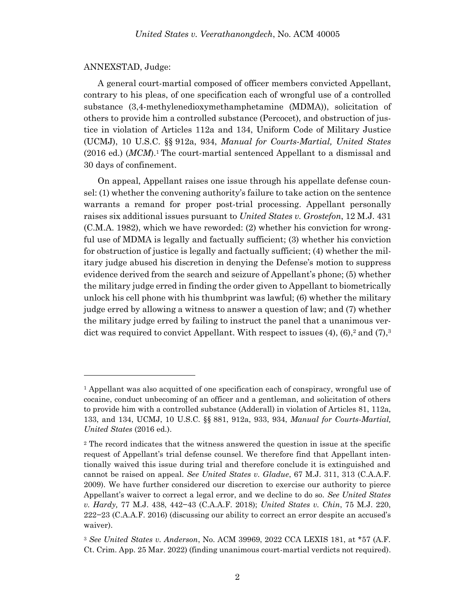### ANNEXSTAD, Judge:

A general court-martial composed of officer members convicted Appellant, contrary to his pleas, of one specification each of wrongful use of a controlled substance (3,4-methylenedioxymethamphetamine (MDMA)), solicitation of others to provide him a controlled substance (Percocet), and obstruction of justice in violation of Articles 112a and 134, Uniform Code of Military Justice (UCMJ), 10 U.S.C. §§ 912a, 934, *Manual for Courts-Martial, United States* (2016 ed.) (*MCM*). <sup>1</sup> The court-martial sentenced Appellant to a dismissal and 30 days of confinement.

On appeal, Appellant raises one issue through his appellate defense counsel: (1) whether the convening authority's failure to take action on the sentence warrants a remand for proper post-trial processing. Appellant personally raises six additional issues pursuant to *United States v. Grostefon*, 12 M.J. 431 (C.M.A. 1982), which we have reworded: (2) whether his conviction for wrongful use of MDMA is legally and factually sufficient; (3) whether his conviction for obstruction of justice is legally and factually sufficient; (4) whether the military judge abused his discretion in denying the Defense's motion to suppress evidence derived from the search and seizure of Appellant's phone; (5) whether the military judge erred in finding the order given to Appellant to biometrically unlock his cell phone with his thumbprint was lawful; (6) whether the military judge erred by allowing a witness to answer a question of law; and (7) whether the military judge erred by failing to instruct the panel that a unanimous verdict was required to convict Appellant. With respect to issues (4), (6),<sup>2</sup> and (7),<sup>3</sup>

<sup>1</sup> Appellant was also acquitted of one specification each of conspiracy, wrongful use of cocaine, conduct unbecoming of an officer and a gentleman, and solicitation of others to provide him with a controlled substance (Adderall) in violation of Articles 81, 112a, 133, and 134, UCMJ, 10 U.S.C. §§ 881, 912a, 933, 934, *Manual for Courts-Martial, United States* (2016 ed.).

<sup>2</sup> The record indicates that the witness answered the question in issue at the specific request of Appellant's trial defense counsel. We therefore find that Appellant intentionally waived this issue during trial and therefore conclude it is extinguished and cannot be raised on appeal. *See United States v. Gladue*, 67 M.J. 311, 313 (C.A.A.F. 2009). We have further considered our discretion to exercise our authority to pierce Appellant's waiver to correct a legal error, and we decline to do so. *See United States v. Hardy,* 77 M.J. 438, 442−43 (C.A.A.F. 2018); *United States v. Chin*, 75 M.J. 220, 222−23 (C.A.A.F. 2016) (discussing our ability to correct an error despite an accused's waiver).

<sup>3</sup> *See United States v. Anderson*, No. ACM 39969, 2022 CCA LEXIS 181, at \*57 (A.F. Ct. Crim. App. 25 Mar. 2022) (finding unanimous court-martial verdicts not required).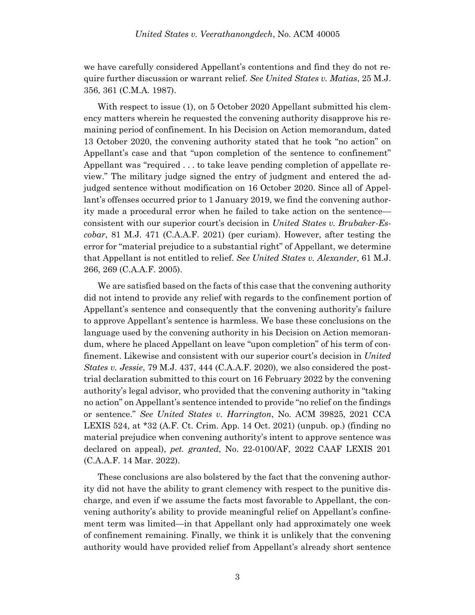we have carefully considered Appellant's contentions and find they do not require further discussion or warrant relief. *See United States v. Matias*, 25 M.J. 356, 361 (C.M.A. 1987).

With respect to issue (1), on 5 October 2020 Appellant submitted his clemency matters wherein he requested the convening authority disapprove his remaining period of confinement. In his Decision on Action memorandum, dated 13 October 2020, the convening authority stated that he took "no action" on Appellant's case and that "upon completion of the sentence to confinement" Appellant was "required . . . to take leave pending completion of appellate review." The military judge signed the entry of judgment and entered the adjudged sentence without modification on 16 October 2020. Since all of Appellant's offenses occurred prior to 1 January 2019, we find the convening authority made a procedural error when he failed to take action on the sentence consistent with our superior court's decision in *United States v. Brubaker-Escobar*, 81 M.J. 471 (C.A.A.F. 2021) (per curiam). However, after testing the error for "material prejudice to a substantial right" of Appellant, we determine that Appellant is not entitled to relief. *See United States v. Alexander,* 61 M.J. 266, 269 (C.A.A.F. 2005).

We are satisfied based on the facts of this case that the convening authority did not intend to provide any relief with regards to the confinement portion of Appellant's sentence and consequently that the convening authority's failure to approve Appellant's sentence is harmless. We base these conclusions on the language used by the convening authority in his Decision on Action memorandum, where he placed Appellant on leave "upon completion" of his term of confinement. Likewise and consistent with our superior court's decision in *United States v. Jessie*, 79 M.J. 437, 444 (C.A.A.F. 2020), we also considered the posttrial declaration submitted to this court on 16 February 2022 by the convening authority's legal advisor, who provided that the convening authority in "taking no action" on Appellant's sentence intended to provide "no relief on the findings or sentence." *See United States v. Harrington*, No. ACM 39825, 2021 CCA LEXIS 524, at \*32 (A.F. Ct. Crim. App. 14 Oct. 2021) (unpub. op.) (finding no material prejudice when convening authority's intent to approve sentence was declared on appeal), *pet. granted*, No. 22-0100/AF, 2022 CAAF LEXIS 201 (C.A.A.F. 14 Mar. 2022).

These conclusions are also bolstered by the fact that the convening authority did not have the ability to grant clemency with respect to the punitive discharge, and even if we assume the facts most favorable to Appellant, the convening authority's ability to provide meaningful relief on Appellant's confinement term was limited—in that Appellant only had approximately one week of confinement remaining. Finally, we think it is unlikely that the convening authority would have provided relief from Appellant's already short sentence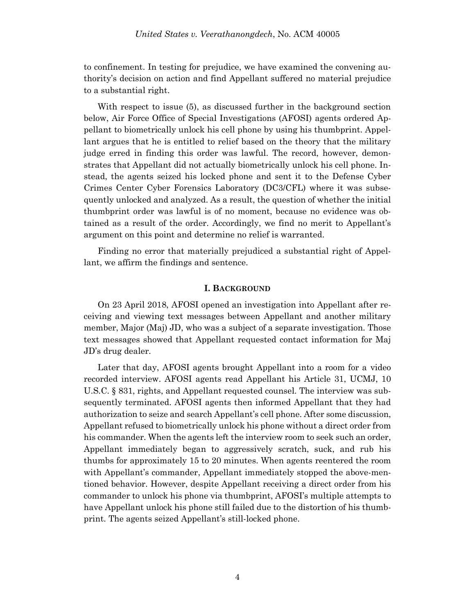to confinement. In testing for prejudice, we have examined the convening authority's decision on action and find Appellant suffered no material prejudice to a substantial right.

With respect to issue (5), as discussed further in the background section below, Air Force Office of Special Investigations (AFOSI) agents ordered Appellant to biometrically unlock his cell phone by using his thumbprint. Appellant argues that he is entitled to relief based on the theory that the military judge erred in finding this order was lawful. The record, however, demonstrates that Appellant did not actually biometrically unlock his cell phone. Instead, the agents seized his locked phone and sent it to the Defense Cyber Crimes Center Cyber Forensics Laboratory (DC3/CFL) where it was subsequently unlocked and analyzed. As a result, the question of whether the initial thumbprint order was lawful is of no moment, because no evidence was obtained as a result of the order. Accordingly, we find no merit to Appellant's argument on this point and determine no relief is warranted.

Finding no error that materially prejudiced a substantial right of Appellant, we affirm the findings and sentence.

# **I. BACKGROUND**

On 23 April 2018, AFOSI opened an investigation into Appellant after receiving and viewing text messages between Appellant and another military member, Major (Maj) JD, who was a subject of a separate investigation. Those text messages showed that Appellant requested contact information for Maj JD's drug dealer.

Later that day, AFOSI agents brought Appellant into a room for a video recorded interview. AFOSI agents read Appellant his Article 31, UCMJ, 10 U.S.C. § 831, rights, and Appellant requested counsel. The interview was subsequently terminated. AFOSI agents then informed Appellant that they had authorization to seize and search Appellant's cell phone. After some discussion, Appellant refused to biometrically unlock his phone without a direct order from his commander. When the agents left the interview room to seek such an order, Appellant immediately began to aggressively scratch, suck, and rub his thumbs for approximately 15 to 20 minutes. When agents reentered the room with Appellant's commander, Appellant immediately stopped the above-mentioned behavior. However, despite Appellant receiving a direct order from his commander to unlock his phone via thumbprint, AFOSI's multiple attempts to have Appellant unlock his phone still failed due to the distortion of his thumbprint. The agents seized Appellant's still-locked phone.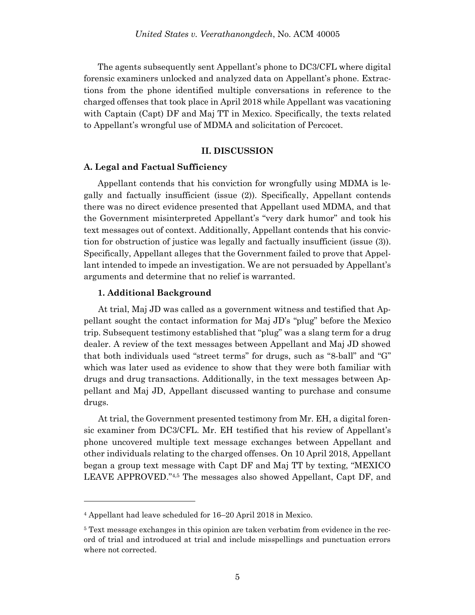The agents subsequently sent Appellant's phone to DC3/CFL where digital forensic examiners unlocked and analyzed data on Appellant's phone. Extractions from the phone identified multiple conversations in reference to the charged offenses that took place in April 2018 while Appellant was vacationing with Captain (Capt) DF and Maj TT in Mexico. Specifically, the texts related to Appellant's wrongful use of MDMA and solicitation of Percocet.

# **II. DISCUSSION**

#### **A. Legal and Factual Sufficiency**

Appellant contends that his conviction for wrongfully using MDMA is legally and factually insufficient (issue (2)). Specifically, Appellant contends there was no direct evidence presented that Appellant used MDMA, and that the Government misinterpreted Appellant's "very dark humor" and took his text messages out of context. Additionally, Appellant contends that his conviction for obstruction of justice was legally and factually insufficient (issue (3)). Specifically, Appellant alleges that the Government failed to prove that Appellant intended to impede an investigation. We are not persuaded by Appellant's arguments and determine that no relief is warranted.

### **1. Additional Background**

l

 At trial, Maj JD was called as a government witness and testified that Appellant sought the contact information for Maj JD's "plug" before the Mexico trip. Subsequent testimony established that "plug" was a slang term for a drug dealer. A review of the text messages between Appellant and Maj JD showed that both individuals used "street terms" for drugs, such as "8-ball" and "G" which was later used as evidence to show that they were both familiar with drugs and drug transactions. Additionally, in the text messages between Appellant and Maj JD, Appellant discussed wanting to purchase and consume drugs.

 At trial, the Government presented testimony from Mr. EH, a digital forensic examiner from DC3/CFL. Mr. EH testified that his review of Appellant's phone uncovered multiple text message exchanges between Appellant and other individuals relating to the charged offenses. On 10 April 2018, Appellant began a group text message with Capt DF and Maj TT by texting, "MEXICO LEAVE APPROVED."4,5 The messages also showed Appellant, Capt DF, and

<sup>4</sup> Appellant had leave scheduled for 16–20 April 2018 in Mexico.

<sup>5</sup> Text message exchanges in this opinion are taken verbatim from evidence in the record of trial and introduced at trial and include misspellings and punctuation errors where not corrected.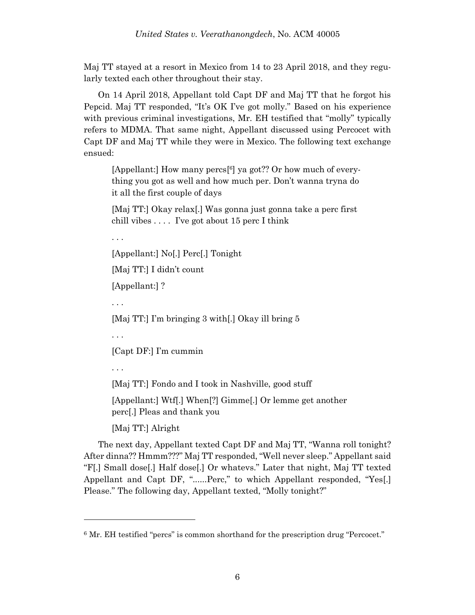Maj TT stayed at a resort in Mexico from 14 to 23 April 2018, and they regularly texted each other throughout their stay.

 On 14 April 2018, Appellant told Capt DF and Maj TT that he forgot his Pepcid. Maj TT responded, "It's OK I've got molly." Based on his experience with previous criminal investigations, Mr. EH testified that "molly" typically refers to MDMA. That same night, Appellant discussed using Percocet with Capt DF and Maj TT while they were in Mexico. The following text exchange ensued:

[Appellant:] How many percs<sup>[6]</sup> ya got?? Or how much of everything you got as well and how much per. Don't wanna tryna do it all the first couple of days

[Maj TT:] Okay relax[.] Was gonna just gonna take a perc first chill vibes . . . . I've got about 15 perc I think

. . .

[Appellant:] No[.] Perc[.] Tonight

[Maj TT:] I didn't count

[Appellant:] ?

. . .

[Maj TT:] I'm bringing 3 with[.] Okay ill bring 5

. . .

[Capt DF:] I'm cummin

. . .

l

[Maj TT:] Fondo and I took in Nashville, good stuff

[Appellant:] Wtf[.] When[?] Gimme[.] Or lemme get another perc[.] Pleas and thank you

[Maj TT:] Alright

 The next day, Appellant texted Capt DF and Maj TT, "Wanna roll tonight? After dinna?? Hmmm???" Maj TT responded, "Well never sleep." Appellant said "F[.] Small dose[.] Half dose[.] Or whatevs." Later that night, Maj TT texted Appellant and Capt DF, "......Perc," to which Appellant responded, "Yes[.] Please." The following day, Appellant texted, "Molly tonight?"

<sup>6</sup> Mr. EH testified "percs" is common shorthand for the prescription drug "Percocet."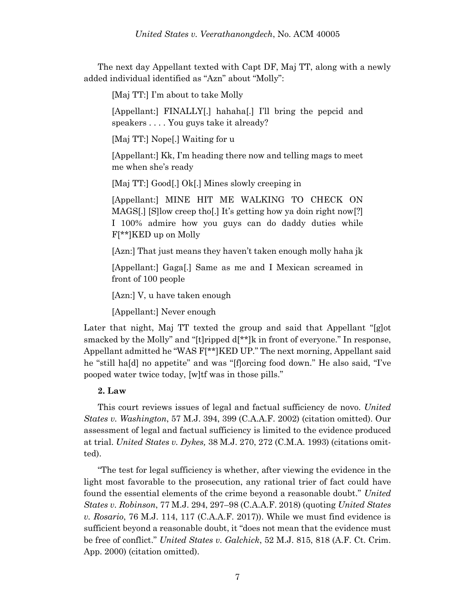The next day Appellant texted with Capt DF, Maj TT, along with a newly added individual identified as "Azn" about "Molly":

[Maj TT:] I'm about to take Molly

[Appellant:] FINALLY[.] hahaha[.] I'll bring the pepcid and speakers . . . . You guys take it already?

[Maj TT:] Nope[.] Waiting for u

[Appellant:] Kk, I'm heading there now and telling mags to meet me when she's ready

[Maj TT:] Good[.] Ok[.] Mines slowly creeping in

[Appellant:] MINE HIT ME WALKING TO CHECK ON MAGS[.] [S]low creep tho[.] It's getting how ya doin right now[?] I 100% admire how you guys can do daddy duties while F[\*\*]KED up on Molly

[Azn:] That just means they haven't taken enough molly haha jk

[Appellant:] Gaga[.] Same as me and I Mexican screamed in front of 100 people

[Azn:] V, u have taken enough

[Appellant:] Never enough

Later that night, Maj TT texted the group and said that Appellant "[g]ot smacked by the Molly" and "[t]ripped d[\*\*]k in front of everyone." In response, Appellant admitted he "WAS F[\*\*]KED UP." The next morning, Appellant said he "still ha[d] no appetite" and was "[f]orcing food down." He also said, "I've pooped water twice today, [w]tf was in those pills."

# **2. Law**

This court reviews issues of legal and factual sufficiency de novo. *United States v. Washington*, 57 M.J. 394, 399 (C.A.A.F. 2002) (citation omitted). Our assessment of legal and factual sufficiency is limited to the evidence produced at trial. *United States v. Dykes,* 38 M.J. 270, 272 (C.M.A. 1993) (citations omitted).

"The test for legal sufficiency is whether, after viewing the evidence in the light most favorable to the prosecution, any rational trier of fact could have found the essential elements of the crime beyond a reasonable doubt." *United States v. Robinson*, 77 M.J. 294, 297–98 (C.A.A.F. 2018) (quoting *United States v. Rosario*, 76 M.J. 114, 117 (C.A.A.F. 2017)). While we must find evidence is sufficient beyond a reasonable doubt, it "does not mean that the evidence must be free of conflict." *United States v. Galchick*, 52 M.J. 815, 818 (A.F. Ct. Crim. App. 2000) (citation omitted).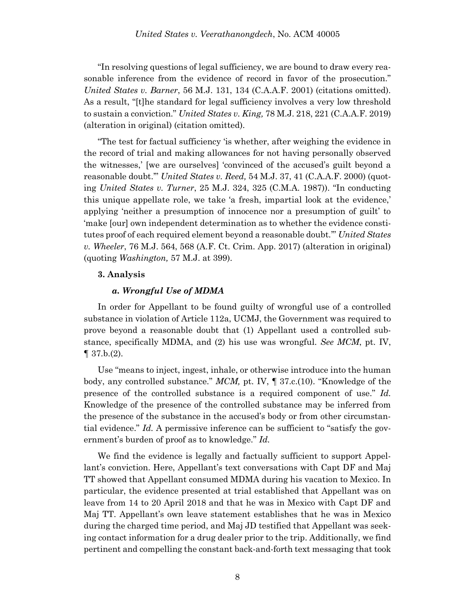"In resolving questions of legal sufficiency, we are bound to draw every reasonable inference from the evidence of record in favor of the prosecution." *United States v. Barner*, 56 M.J. 131, 134 (C.A.A.F. 2001) (citations omitted). As a result, "[t]he standard for legal sufficiency involves a very low threshold to sustain a conviction." *United States v. King,* 78 M.J. 218, 221 (C.A.A.F. 2019) (alteration in original) (citation omitted).

"The test for factual sufficiency 'is whether, after weighing the evidence in the record of trial and making allowances for not having personally observed the witnesses,' [we are ourselves] 'convinced of the accused's guilt beyond a reasonable doubt.'" *United States v. Reed,* 54 M.J. 37, 41 (C.A.A.F. 2000) (quoting *United States v. Turner*, 25 M.J. 324, 325 (C.M.A. 1987)). "In conducting this unique appellate role, we take 'a fresh, impartial look at the evidence,' applying 'neither a presumption of innocence nor a presumption of guilt' to 'make [our] own independent determination as to whether the evidence constitutes proof of each required element beyond a reasonable doubt.'" *United States v. Wheeler*, 76 M.J. 564, 568 (A.F. Ct. Crim. App. 2017) (alteration in original) (quoting *Washington,* 57 M.J. at 399).

# **3. Analysis**

# *a. Wrongful Use of MDMA*

In order for Appellant to be found guilty of wrongful use of a controlled substance in violation of Article 112a, UCMJ, the Government was required to prove beyond a reasonable doubt that (1) Appellant used a controlled substance, specifically MDMA, and (2) his use was wrongful. *See MCM*, pt. IV,  $\P$  37.b.(2).

Use "means to inject, ingest, inhale, or otherwise introduce into the human body, any controlled substance." *MCM,* pt. IV, ¶ 37.c.(10). "Knowledge of the presence of the controlled substance is a required component of use." *Id.*  Knowledge of the presence of the controlled substance may be inferred from the presence of the substance in the accused's body or from other circumstantial evidence." *Id.* A permissive inference can be sufficient to "satisfy the government's burden of proof as to knowledge." *Id.*

We find the evidence is legally and factually sufficient to support Appellant's conviction. Here, Appellant's text conversations with Capt DF and Maj TT showed that Appellant consumed MDMA during his vacation to Mexico. In particular, the evidence presented at trial established that Appellant was on leave from 14 to 20 April 2018 and that he was in Mexico with Capt DF and Maj TT. Appellant's own leave statement establishes that he was in Mexico during the charged time period, and Maj JD testified that Appellant was seeking contact information for a drug dealer prior to the trip. Additionally, we find pertinent and compelling the constant back-and-forth text messaging that took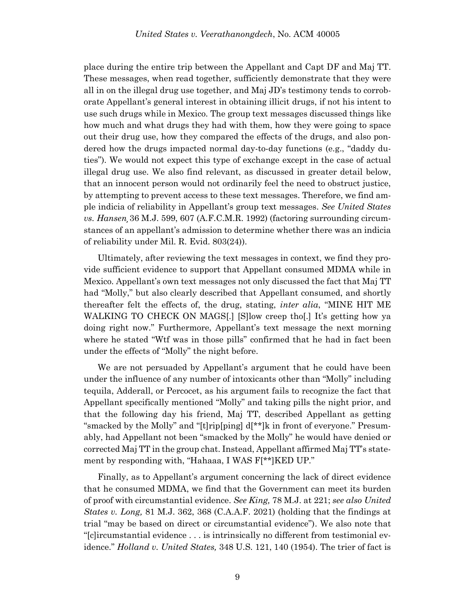place during the entire trip between the Appellant and Capt DF and Maj TT. These messages, when read together, sufficiently demonstrate that they were all in on the illegal drug use together, and Maj JD's testimony tends to corroborate Appellant's general interest in obtaining illicit drugs, if not his intent to use such drugs while in Mexico. The group text messages discussed things like how much and what drugs they had with them, how they were going to space out their drug use, how they compared the effects of the drugs, and also pondered how the drugs impacted normal day-to-day functions (e.g., "daddy duties"). We would not expect this type of exchange except in the case of actual illegal drug use. We also find relevant, as discussed in greater detail below, that an innocent person would not ordinarily feel the need to obstruct justice, by attempting to prevent access to these text messages. Therefore, we find ample indicia of reliability in Appellant's group text messages. *See United States vs. Hansen¸*36 M.J. 599, 607 (A.F.C.M.R. 1992) (factoring surrounding circumstances of an appellant's admission to determine whether there was an indicia of reliability under Mil. R. Evid. 803(24)).

Ultimately, after reviewing the text messages in context, we find they provide sufficient evidence to support that Appellant consumed MDMA while in Mexico. Appellant's own text messages not only discussed the fact that Maj TT had "Molly," but also clearly described that Appellant consumed, and shortly thereafter felt the effects of, the drug, stating, *inter alia*, "MINE HIT ME WALKING TO CHECK ON MAGS[.] [S]low creep tho[.] It's getting how ya doing right now." Furthermore, Appellant's text message the next morning where he stated "Wtf was in those pills" confirmed that he had in fact been under the effects of "Molly" the night before.

We are not persuaded by Appellant's argument that he could have been under the influence of any number of intoxicants other than "Molly" including tequila, Adderall, or Percocet, as his argument fails to recognize the fact that Appellant specifically mentioned "Molly" and taking pills the night prior, and that the following day his friend, Maj TT, described Appellant as getting "smacked by the Molly" and "[t]rip[ping] d[\*\*]k in front of everyone." Presumably, had Appellant not been "smacked by the Molly" he would have denied or corrected Maj TT in the group chat. Instead, Appellant affirmed Maj TT's statement by responding with, "Hahaaa, I WAS F[\*\*]KED UP."

Finally, as to Appellant's argument concerning the lack of direct evidence that he consumed MDMA, we find that the Government can meet its burden of proof with circumstantial evidence. *See King,* 78 M.J. at 221; *see also United States v. Long,* 81 M.J. 362, 368 (C.A.A.F. 2021) (holding that the findings at trial "may be based on direct or circumstantial evidence"). We also note that "[c]ircumstantial evidence . . . is intrinsically no different from testimonial evidence." *Holland v. United States,* 348 U.S. 121, 140 (1954). The trier of fact is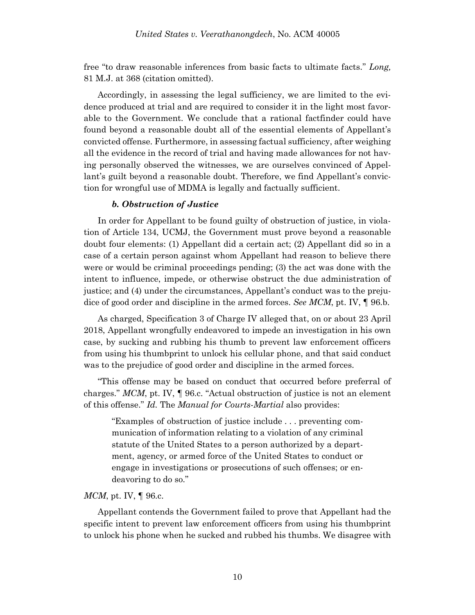free "to draw reasonable inferences from basic facts to ultimate facts." *Long,*  81 M.J. at 368 (citation omitted).

Accordingly, in assessing the legal sufficiency, we are limited to the evidence produced at trial and are required to consider it in the light most favorable to the Government. We conclude that a rational factfinder could have found beyond a reasonable doubt all of the essential elements of Appellant's convicted offense. Furthermore, in assessing factual sufficiency, after weighing all the evidence in the record of trial and having made allowances for not having personally observed the witnesses, we are ourselves convinced of Appellant's guilt beyond a reasonable doubt. Therefore, we find Appellant's conviction for wrongful use of MDMA is legally and factually sufficient.

# *b. Obstruction of Justice*

In order for Appellant to be found guilty of obstruction of justice, in violation of Article 134, UCMJ, the Government must prove beyond a reasonable doubt four elements: (1) Appellant did a certain act; (2) Appellant did so in a case of a certain person against whom Appellant had reason to believe there were or would be criminal proceedings pending; (3) the act was done with the intent to influence, impede, or otherwise obstruct the due administration of justice; and (4) under the circumstances, Appellant's conduct was to the prejudice of good order and discipline in the armed forces. *See MCM*, pt. IV, ¶ 96.b.

As charged, Specification 3 of Charge IV alleged that, on or about 23 April 2018, Appellant wrongfully endeavored to impede an investigation in his own case, by sucking and rubbing his thumb to prevent law enforcement officers from using his thumbprint to unlock his cellular phone, and that said conduct was to the prejudice of good order and discipline in the armed forces.

"This offense may be based on conduct that occurred before preferral of charges." *MCM*, pt. IV, ¶ 96.c. "Actual obstruction of justice is not an element of this offense." *Id.* The *Manual for Courts-Martial* also provides:

"Examples of obstruction of justice include . . . preventing communication of information relating to a violation of any criminal statute of the United States to a person authorized by a department, agency, or armed force of the United States to conduct or engage in investigations or prosecutions of such offenses; or endeavoring to do so."

### *MCM*, pt. IV, ¶ 96.c.

Appellant contends the Government failed to prove that Appellant had the specific intent to prevent law enforcement officers from using his thumbprint to unlock his phone when he sucked and rubbed his thumbs. We disagree with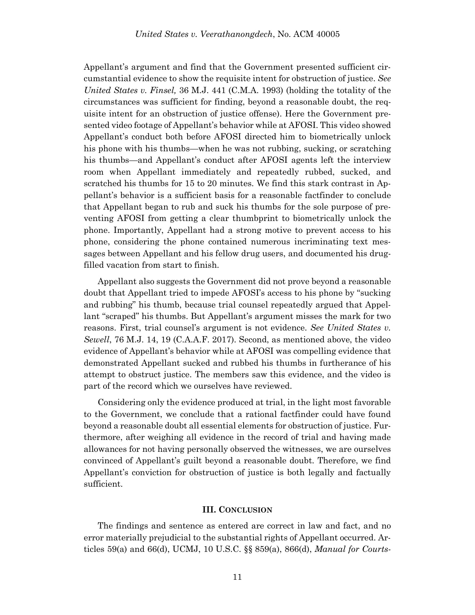Appellant's argument and find that the Government presented sufficient circumstantial evidence to show the requisite intent for obstruction of justice. *See United States v. Finsel,* 36 M.J. 441 (C.M.A. 1993) (holding the totality of the circumstances was sufficient for finding, beyond a reasonable doubt, the requisite intent for an obstruction of justice offense). Here the Government presented video footage of Appellant's behavior while at AFOSI. This video showed Appellant's conduct both before AFOSI directed him to biometrically unlock his phone with his thumbs—when he was not rubbing, sucking, or scratching his thumbs—and Appellant's conduct after AFOSI agents left the interview room when Appellant immediately and repeatedly rubbed, sucked, and scratched his thumbs for 15 to 20 minutes. We find this stark contrast in Appellant's behavior is a sufficient basis for a reasonable factfinder to conclude that Appellant began to rub and suck his thumbs for the sole purpose of preventing AFOSI from getting a clear thumbprint to biometrically unlock the phone. Importantly, Appellant had a strong motive to prevent access to his phone, considering the phone contained numerous incriminating text messages between Appellant and his fellow drug users, and documented his drugfilled vacation from start to finish.

Appellant also suggests the Government did not prove beyond a reasonable doubt that Appellant tried to impede AFOSI's access to his phone by "sucking and rubbing" his thumb, because trial counsel repeatedly argued that Appellant "scraped" his thumbs. But Appellant's argument misses the mark for two reasons. First, trial counsel's argument is not evidence. *See United States v. Sewell*, 76 M.J. 14, 19 (C.A.A.F. 2017). Second, as mentioned above, the video evidence of Appellant's behavior while at AFOSI was compelling evidence that demonstrated Appellant sucked and rubbed his thumbs in furtherance of his attempt to obstruct justice. The members saw this evidence, and the video is part of the record which we ourselves have reviewed.

Considering only the evidence produced at trial, in the light most favorable to the Government, we conclude that a rational factfinder could have found beyond a reasonable doubt all essential elements for obstruction of justice. Furthermore, after weighing all evidence in the record of trial and having made allowances for not having personally observed the witnesses, we are ourselves convinced of Appellant's guilt beyond a reasonable doubt. Therefore, we find Appellant's conviction for obstruction of justice is both legally and factually sufficient.

#### **III. CONCLUSION**

The findings and sentence as entered are correct in law and fact, and no error materially prejudicial to the substantial rights of Appellant occurred. Articles 59(a) and 66(d), UCMJ, 10 U.S.C. §§ 859(a), 866(d), *Manual for Courts-*